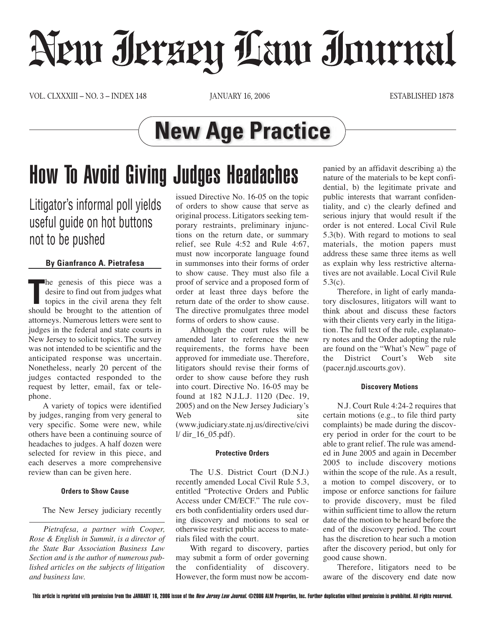# Neur Jerzey Law Journal

VOL. CLXXXIII – NO. 3 – INDEX 148 JANUARY 16, 2006 ESTABLISHED 1878

### **New Age Practice**

## How To Avoid Giving Judges Headaches

Litigator's informal poll yields useful guide on hot buttons not to be pushed

#### **By Gianfranco A. Pietrafesa**

The genesis of this piece was a desire to find out from judges what topics in the civil arena they felt should be brought to the attention of he genesis of this piece was a desire to find out from judges what topics in the civil arena they felt attorneys. Numerous letters were sent to judges in the federal and state courts in New Jersey to solicit topics. The survey was not intended to be scientific and the anticipated response was uncertain. Nonetheless, nearly 20 percent of the judges contacted responded to the request by letter, email, fax or telephone.

A variety of topics were identified by judges, ranging from very general to very specific. Some were new, while others have been a continuing source of headaches to judges. A half dozen were selected for review in this piece, and each deserves a more comprehensive review than can be given here.

#### **Orders to Show Cause**

The New Jersey judiciary recently

*Pietrafesa, a partner with Cooper, Rose & English in Summit, is a director of the State Bar Association Business Law Section and is the author of numerous published articles on the subjects of litigation and business law.*

issued Directive No. 16-05 on the topic of orders to show cause that serve as original process. Litigators seeking temporary restraints, preliminary injunctions on the return date, or summary relief, see Rule 4:52 and Rule 4:67, must now incorporate language found in summonses into their forms of order to show cause. They must also file a proof of service and a proposed form of order at least three days before the return date of the order to show cause. The directive promulgates three model forms of orders to show cause.

Although the court rules will be amended later to reference the new requirements, the forms have been approved for immediate use. Therefore, litigators should revise their forms of order to show cause before they rush into court. Directive No. 16-05 may be found at 182 N.J.L.J. 1120 (Dec. 19, 2005) and on the New Jersey Judiciary's Web site

(www.judiciary.state.nj.us/directive/civi  $1/$  dir  $16$  05.pdf).

#### **Protective Orders**

The U.S. District Court (D.N.J.) recently amended Local Civil Rule 5.3, entitled "Protective Orders and Public Access under CM/ECF." The rule covers both confidentiality orders used during discovery and motions to seal or otherwise restrict public access to materials filed with the court.

With regard to discovery, parties may submit a form of order governing the confidentiality of discovery. However, the form must now be accompanied by an affidavit describing a) the nature of the materials to be kept confidential, b) the legitimate private and public interests that warrant confidentiality, and c) the clearly defined and serious injury that would result if the order is not entered. Local Civil Rule 5.3(b). With regard to motions to seal materials, the motion papers must address these same three items as well as explain why less restrictive alternatives are not available. Local Civil Rule 5.3(c).

Therefore, in light of early mandatory disclosures, litigators will want to think about and discuss these factors with their clients very early in the litigation. The full text of the rule, explanatory notes and the Order adopting the rule are found on the "What's New" page of<br>the District Court's Web site the District Court's (pacer.njd.uscourts.gov).

#### **Discovery Motions**

N.J. Court Rule 4:24-2 requires that certain motions (e.g., to file third party complaints) be made during the discovery period in order for the court to be able to grant relief. The rule was amended in June 2005 and again in December 2005 to include discovery motions within the scope of the rule. As a result, a motion to compel discovery, or to impose or enforce sanctions for failure to provide discovery, must be filed within sufficient time to allow the return date of the motion to be heard before the end of the discovery period. The court has the discretion to hear such a motion after the discovery period, but only for good cause shown.

Therefore, litigators need to be aware of the discovery end date now